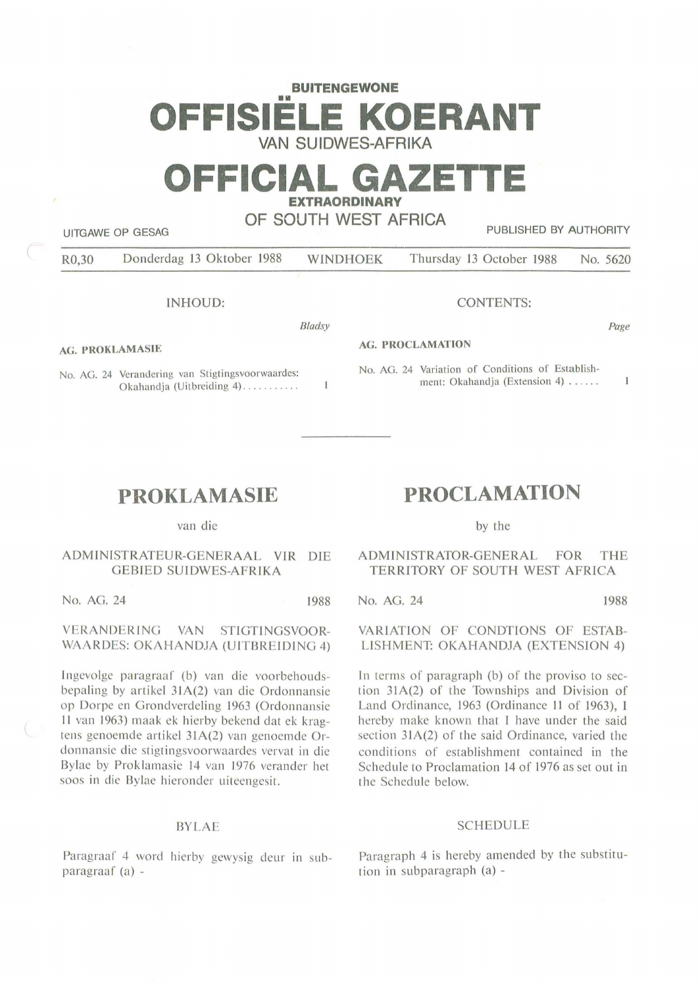## **BUITENGEWONE** OFFISIEL **E KOERANT VAN SUIDWES-AFRIKA**

# **OFFICIAL GAZET EXTRAORDINARY**

**OF SOUTH WEST AFRICA** 

UITGAWE OP GESAG **PUBLISHED BY AUTHORITY** 

|  | R0,30 | Donderdag 13 Oktober 1988 | <b>WINDHOEK</b> | Thursday 13 October 1988 No. 5620 |  |
|--|-------|---------------------------|-----------------|-----------------------------------|--|
|--|-------|---------------------------|-----------------|-----------------------------------|--|

INHOUD:

*Bladsy* 

**AG. PROKLAMASIE** 

No. AG. 24 Verandering van Stigtingsvoorwaardes: Okahandia (Uitbreiding 4) ..........

### CONTENTS:

Page

### **AG. PROCLAMATION**

No. AG. 24 Variation of Conditions of Establishment: Okahandia (Extension 4) ......  $\mathbf{1}$ 

# **PROKLAMASIE**

van die

### ADMIN ISTRATEUR-GENERAAL VIR DIE GEBIED SUIDWES-AFRIKA

No. AG. 24 1988

### VERANDERING VAN STIGTINGSVOOR-**WAARDES: OKAHANDJA (UITBREIDING** 4)

Ingevolge paragraaf (b) van die voorbehoudsbepaling by a rtikel 3 **IA(2)** van die Ordonnansie op Dorpe en Grondverdeling 1963 (Ordonnansie 11 van 1963) maak ek hierby bekend dat ek kragtens genoemde artikel 31A(2) van genoemde Ordonnansie die stigtingsvoorwaardes vervat in die Bylae by Proklamasie 14 van 1976 verander het soos in die Bylae hieronder uiteengesit.

### BYLAE

Paragraaf 4 word hierby gewysig deur in subparagraaf (a) -

# **PROCLAMATION**

by the

ADMINISTRATOR-GENERAL FOR THE TERRITORY OF SOUTH WEST AFRICA

No. AG. 24 1988

VARIATION OF CONDTlONS OF ESTAB-LISHMENT: OKAHANDJA (EXTENSION 4)

In terms of paragraph (b) of the proviso to section  $31A(2)$  of the Townships and Division of Land Ordinance, 1963 (Ordinance 11 of 1963), I hereby make known that I have under the said section 31A(2) of the said Ordinance, varied the conditions of establishment contained in the Schedule to Proclamation 14 of 1976 as set out in the Schedule below.

### SCHEDULE

Paragraph 4 is hereby amended by the substitution in subparagraph (a) -